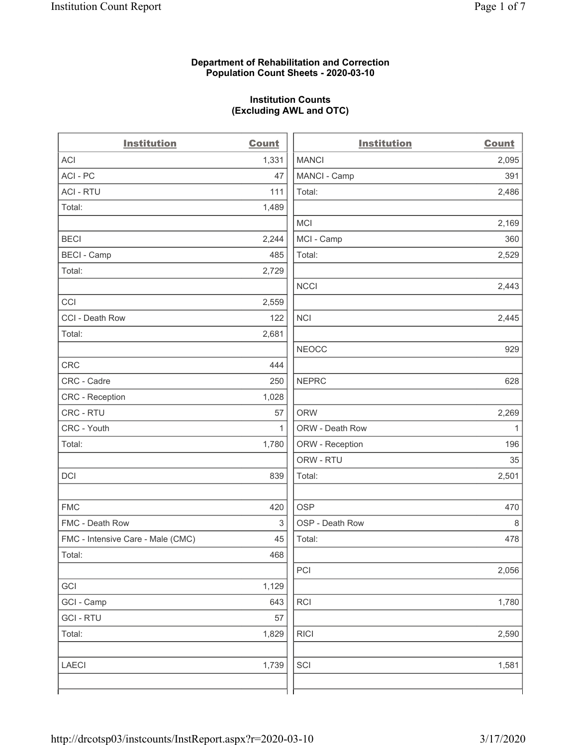### **Department of Rehabilitation and Correction Population Count Sheets - 2020-03-10**

# **Institution Counts (Excluding AWL and OTC)**

 $\overline{a}$ 

| <b>Institution</b>                | <b>Count</b> | <b>Institution</b> | Count        |
|-----------------------------------|--------------|--------------------|--------------|
| ACI                               | 1,331        | <b>MANCI</b>       | 2,095        |
| ACI-PC                            | 47           | MANCI - Camp       | 391          |
| <b>ACI - RTU</b>                  | 111          | Total:             | 2,486        |
| Total:                            | 1,489        |                    |              |
|                                   |              | MCI                | 2,169        |
| <b>BECI</b>                       | 2,244        | MCI - Camp         | 360          |
| <b>BECI - Camp</b>                | 485          | Total:             | 2,529        |
| Total:                            | 2,729        |                    |              |
|                                   |              | <b>NCCI</b>        | 2,443        |
| CCI                               | 2,559        |                    |              |
| CCI - Death Row                   | 122          | <b>NCI</b>         | 2,445        |
| Total:                            | 2,681        |                    |              |
|                                   |              | <b>NEOCC</b>       | 929          |
| CRC                               | 444          |                    |              |
| CRC - Cadre                       | 250          | <b>NEPRC</b>       | 628          |
| <b>CRC</b> - Reception            | 1,028        |                    |              |
| CRC - RTU                         | 57           | <b>ORW</b>         | 2,269        |
| CRC - Youth                       | $\mathbf{1}$ | ORW - Death Row    | $\mathbf{1}$ |
| Total:                            | 1,780        | ORW - Reception    | 196          |
|                                   |              | ORW - RTU          | 35           |
| DCI                               | 839          | Total:             | 2,501        |
| <b>FMC</b>                        | 420          | <b>OSP</b>         | 470          |
| FMC - Death Row                   | 3            | OSP - Death Row    | 8            |
| FMC - Intensive Care - Male (CMC) | 45           | Total:             | 478          |
| Total:                            | 468          |                    |              |
|                                   |              | PCI                | 2,056        |
| GCI                               | 1,129        |                    |              |
| GCI - Camp                        | 643          | RCI                | 1,780        |
| <b>GCI-RTU</b>                    | 57           |                    |              |
| Total:                            | 1,829        | <b>RICI</b>        | 2,590        |
| LAECI                             | 1,739        | SCI                | 1,581        |
|                                   |              |                    |              |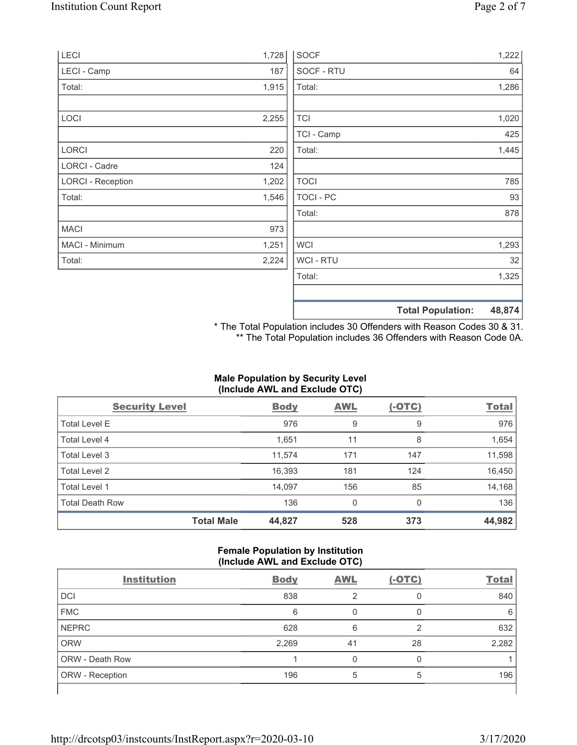| LECI                     | 1,728 | <b>SOCF</b>      | 1,222                              |
|--------------------------|-------|------------------|------------------------------------|
| LECI - Camp              | 187   | SOCF - RTU       | 64                                 |
| Total:                   | 1,915 | Total:           | 1,286                              |
|                          |       |                  |                                    |
| LOCI                     | 2,255 | <b>TCI</b>       | 1,020                              |
|                          |       | TCI - Camp       | 425                                |
| <b>LORCI</b>             | 220   | Total:           | 1,445                              |
| LORCI - Cadre            | 124   |                  |                                    |
| <b>LORCI - Reception</b> | 1,202 | <b>TOCI</b>      | 785                                |
| Total:                   | 1,546 | <b>TOCI - PC</b> | 93                                 |
|                          |       | Total:           | 878                                |
| <b>MACI</b>              | 973   |                  |                                    |
| MACI - Minimum           | 1,251 | <b>WCI</b>       | 1,293                              |
| Total:                   | 2,224 | <b>WCI-RTU</b>   | 32                                 |
|                          |       | Total:           | 1,325                              |
|                          |       |                  |                                    |
|                          |       |                  | 48,874<br><b>Total Population:</b> |

\* The Total Population includes 30 Offenders with Reason Codes 30 & 31. \*\* The Total Population includes 36 Offenders with Reason Code 0A.

# **Male Population by Security Level (Include AWL and Exclude OTC)**

| <b>Security Level</b>  |                   | <b>Body</b> | <b>AWL</b>  | $(-OTC)$ | <b>Total</b> |
|------------------------|-------------------|-------------|-------------|----------|--------------|
| <b>Total Level E</b>   |                   | 976         | 9           | 9        | 976          |
| Total Level 4          |                   | 1,651       | 11          | 8        | 1,654        |
| Total Level 3          |                   | 11,574      | 171         | 147      | 11,598       |
| Total Level 2          |                   | 16,393      | 181         | 124      | 16,450       |
| Total Level 1          |                   | 14,097      | 156         | 85       | 14,168       |
| <b>Total Death Row</b> |                   | 136         | $\mathbf 0$ | 0        | 136          |
|                        | <b>Total Male</b> | 44,827      | 528         | 373      | 44,982       |

## **Female Population by Institution (Include AWL and Exclude OTC)**

| <b>Institution</b>     | <b>Body</b> | <b>AWL</b> | $(-OTC)$ | <b>Total</b> |
|------------------------|-------------|------------|----------|--------------|
| <b>DCI</b>             | 838         | 2          |          | 840          |
| <b>FMC</b>             | 6           |            |          | 6            |
| <b>NEPRC</b>           | 628         | 6          | ⌒        | 632          |
| <b>ORW</b>             | 2,269       | 41         | 28       | 2,282        |
| <b>ORW - Death Row</b> |             |            |          |              |
| ORW - Reception        | 196         |            | 5        | 196          |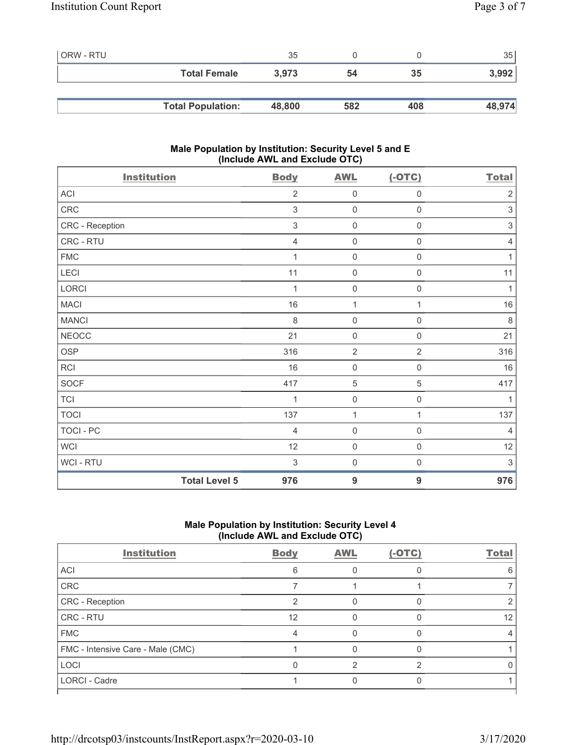| l ORW - RTU |                          | 35     |     |     | 35     |
|-------------|--------------------------|--------|-----|-----|--------|
|             | <b>Total Female</b>      | 3.973  | 54  | 35  | 3,992  |
|             |                          |        |     |     |        |
|             | <b>Total Population:</b> | 48,800 | 582 | 408 | 48,974 |

## **Male Population by Institution: Security Level 5 and E (Include AWL and Exclude OTC)**

| <b>Institution</b>   | <b>Body</b>               | <b>AWL</b>          | $(-OTC)$            | <b>Total</b>              |
|----------------------|---------------------------|---------------------|---------------------|---------------------------|
| ACI                  | $\overline{2}$            | $\mathsf{O}\xspace$ | $\mathsf{O}\xspace$ | $\sqrt{2}$                |
| CRC                  | $\ensuremath{\mathsf{3}}$ | $\mathsf{O}\xspace$ | $\mathsf{O}\xspace$ | $\ensuremath{\mathsf{3}}$ |
| CRC - Reception      | 3                         | $\mathsf{O}\xspace$ | $\mathsf{O}\xspace$ | $\ensuremath{\mathsf{3}}$ |
| CRC - RTU            | 4                         | $\mathsf{O}\xspace$ | 0                   | 4                         |
| <b>FMC</b>           | 1                         | $\mathsf{O}\xspace$ | $\mathsf{O}\xspace$ | 1                         |
| LECI                 | 11                        | $\mathsf{O}\xspace$ | $\mathsf{O}\xspace$ | 11                        |
| LORCI                | 1                         | $\mathsf{O}\xspace$ | $\mathsf{O}\xspace$ | 1                         |
| <b>MACI</b>          | 16                        | 1                   | 1                   | 16                        |
| <b>MANCI</b>         | $\,8\,$                   | $\mathsf{O}\xspace$ | $\mathsf{O}\xspace$ | $\,8\,$                   |
| <b>NEOCC</b>         | 21                        | $\mathsf{O}\xspace$ | $\mathsf{O}\xspace$ | 21                        |
| <b>OSP</b>           | 316                       | $\overline{2}$      | $\overline{2}$      | 316                       |
| <b>RCI</b>           | 16                        | $\mathsf{O}\xspace$ | $\mathsf{O}\xspace$ | 16                        |
| <b>SOCF</b>          | 417                       | $\,$ 5 $\,$         | 5                   | 417                       |
| <b>TCI</b>           | 1                         | $\mathsf{O}\xspace$ | $\mathbf 0$         | $\mathbf{1}$              |
| <b>TOCI</b>          | 137                       | $\mathbf 1$         | $\mathbf{1}$        | 137                       |
| <b>TOCI - PC</b>     | $\overline{4}$            | $\mathsf{O}\xspace$ | $\mathsf{O}\xspace$ | $\overline{4}$            |
| <b>WCI</b>           | 12                        | $\mathsf{O}\xspace$ | $\mathsf 0$         | 12                        |
| WCI - RTU            | 3                         | $\mathsf{O}\xspace$ | $\boldsymbol{0}$    | 3                         |
| <b>Total Level 5</b> | 976                       | $\boldsymbol{9}$    | 9                   | 976                       |

# **Male Population by Institution: Security Level 4 (Include AWL and Exclude OTC)**

| <b>Institution</b>                | <b>Body</b> | <b>AWL</b> | $(-OTC)$ | <b>Total</b> |
|-----------------------------------|-------------|------------|----------|--------------|
| <b>ACI</b>                        | 6           |            |          |              |
| CRC                               |             |            |          |              |
| <b>CRC</b> - Reception            |             |            |          |              |
| CRC - RTU                         | 12          |            |          | 12           |
| <b>FMC</b>                        |             |            |          |              |
| FMC - Intensive Care - Male (CMC) |             |            |          |              |
| LOCI                              |             |            |          |              |
| LORCI - Cadre                     |             |            |          |              |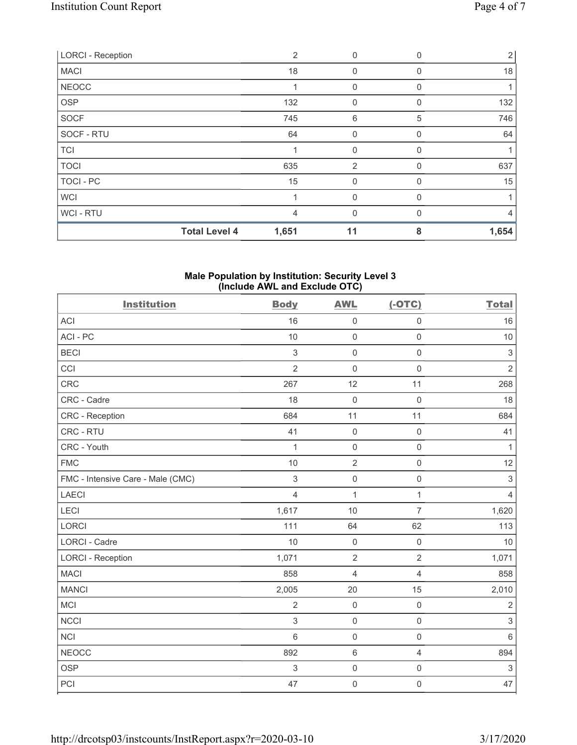| <b>LORCI - Reception</b> | 2              | $\mathbf{0}$   | 0        | $\overline{2}$ |
|--------------------------|----------------|----------------|----------|----------------|
| <b>MACI</b>              | 18             | $\mathbf 0$    | $\Omega$ | 18             |
| <b>NEOCC</b>             |                | $\mathbf{0}$   | 0        |                |
| <b>OSP</b>               | 132            | $\mathbf 0$    | $\Omega$ | 132            |
| SOCF                     | 745            | 6              | 5        | 746            |
| SOCF - RTU               | 64             | $\mathbf{0}$   | 0        | 64             |
| <b>TCI</b>               |                | $\mathbf 0$    | 0        |                |
| <b>TOCI</b>              | 635            | $\overline{2}$ | 0        | 637            |
| <b>TOCI - PC</b>         | 15             | $\mathbf{0}$   | 0        | 15             |
| <b>WCI</b>               |                | $\mathbf 0$    | 0        | 1              |
| WCI-RTU                  | $\overline{4}$ | 0              | $\Omega$ | $\overline{4}$ |
| <b>Total Level 4</b>     | 1,651          | 11             | 8        | 1,654          |

#### **Male Population by Institution: Security Level 3 (Include AWL and Exclude OTC)**

| <b>Institution</b>                | <b>Body</b>    | <b>AWL</b>          | $(-OTC)$            | <b>Total</b>   |
|-----------------------------------|----------------|---------------------|---------------------|----------------|
| <b>ACI</b>                        | 16             | $\mathsf{O}\xspace$ | $\mathsf{O}\xspace$ | 16             |
| ACI-PC                            | 10             | $\mathsf{O}\xspace$ | $\mathbf 0$         | 10             |
| <b>BECI</b>                       | 3              | $\mathbf 0$         | $\mathbf 0$         | $\sqrt{3}$     |
| CCI                               | $\overline{2}$ | $\mathbf 0$         | $\mathsf{O}\xspace$ | $\overline{2}$ |
| <b>CRC</b>                        | 267            | 12                  | 11                  | 268            |
| CRC - Cadre                       | 18             | $\mathbf 0$         | $\mathbf 0$         | 18             |
| <b>CRC</b> - Reception            | 684            | 11                  | 11                  | 684            |
| CRC - RTU                         | 41             | $\mathsf 0$         | $\mathsf{O}\xspace$ | 41             |
| CRC - Youth                       | $\mathbf{1}$   | $\mathsf{O}\xspace$ | $\mathsf{O}\xspace$ | $\mathbf{1}$   |
| <b>FMC</b>                        | $10$           | $\sqrt{2}$          | $\mathsf{O}\xspace$ | 12             |
| FMC - Intensive Care - Male (CMC) | $\sqrt{3}$     | $\mathsf{O}\xspace$ | $\mathsf{O}\xspace$ | $\sqrt{3}$     |
| <b>LAECI</b>                      | $\overline{4}$ | $\mathbf{1}$        | $\mathbf{1}$        | $\overline{4}$ |
| LECI                              | 1,617          | 10                  | $\overline{7}$      | 1,620          |
| LORCI                             | 111            | 64                  | 62                  | 113            |
| <b>LORCI - Cadre</b>              | 10             | $\mathsf{O}\xspace$ | $\mathsf{O}\xspace$ | 10             |
| <b>LORCI - Reception</b>          | 1,071          | $\overline{2}$      | $\overline{2}$      | 1,071          |
| <b>MACI</b>                       | 858            | $\overline{4}$      | $\overline{4}$      | 858            |
| <b>MANCI</b>                      | 2,005          | 20                  | 15                  | 2,010          |
| <b>MCI</b>                        | $\overline{2}$ | $\mathbf 0$         | $\mathsf{O}\xspace$ | $\overline{2}$ |
| <b>NCCI</b>                       | $\mathfrak{Z}$ | $\mathsf{O}\xspace$ | $\mathbf 0$         | $\sqrt{3}$     |
| <b>NCI</b>                        | $6\phantom{1}$ | $\mathbf 0$         | $\mathbf 0$         | $6\,$          |
| <b>NEOCC</b>                      | 892            | $\,6\,$             | $\overline{4}$      | 894            |
| <b>OSP</b>                        | $\sqrt{3}$     | $\mathbf 0$         | $\mathsf{O}\xspace$ | $\sqrt{3}$     |
| PCI                               | 47             | $\mathsf{O}\xspace$ | $\mathsf{O}\xspace$ | 47             |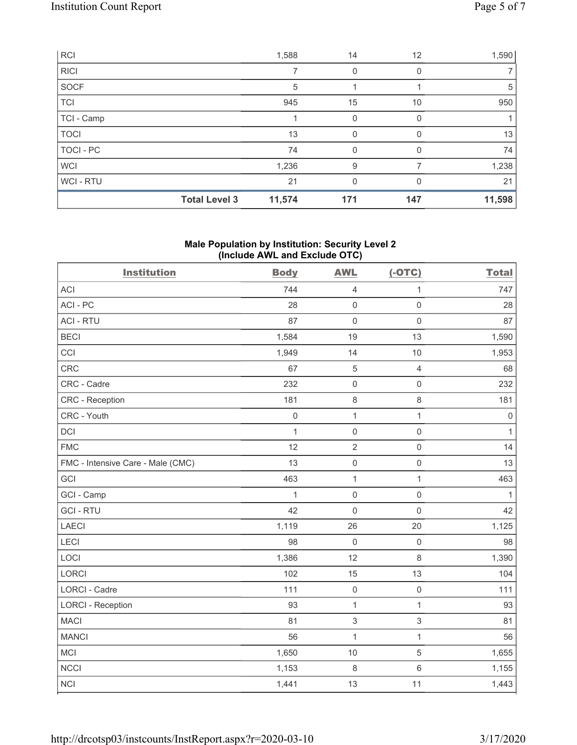|             | <b>Total Level 3</b> | 11,574 | 171 | 147      | 11,598 |
|-------------|----------------------|--------|-----|----------|--------|
| WCI-RTU     |                      | 21     | 0   | $\Omega$ | 21     |
| <b>WCI</b>  |                      | 1,236  | 9   |          | 1,238  |
| TOCI-PC     |                      | 74     | 0   |          | 74     |
| <b>TOCI</b> |                      | 13     | 0   | $\Omega$ | 13     |
| TCI - Camp  |                      |        | 0   |          |        |
| TCI         |                      | 945    | 15  | 10       | 950    |
| SOCF        |                      | 5      |     |          | 5      |
| <b>RICI</b> |                      |        | 0   | 0        |        |
| <b>RCI</b>  |                      | 1,588  | 14  | 12       | 1,590  |

### **Male Population by Institution: Security Level 2 (Include AWL and Exclude OTC)**

| <b>Institution</b>                | <b>Body</b>         | <b>AWL</b>          | $(-OTC)$            | <b>Total</b> |
|-----------------------------------|---------------------|---------------------|---------------------|--------------|
| <b>ACI</b>                        | 744                 | $\overline{4}$      | 1                   | 747          |
| ACI-PC                            | 28                  | $\mathsf{O}\xspace$ | $\mathbf 0$         | 28           |
| <b>ACI - RTU</b>                  | 87                  | $\mathbf 0$         | $\mathsf{O}\xspace$ | 87           |
| <b>BECI</b>                       | 1,584               | 19                  | 13                  | 1,590        |
| CCI                               | 1,949               | 14                  | 10                  | 1,953        |
| CRC                               | 67                  | $\overline{5}$      | $\sqrt{4}$          | 68           |
| CRC - Cadre                       | 232                 | $\mathsf{O}\xspace$ | $\mathbf 0$         | 232          |
| CRC - Reception                   | 181                 | $\,8\,$             | $\,8\,$             | 181          |
| CRC - Youth                       | $\mathsf{O}\xspace$ | $\mathbf{1}$        | $\mathbf{1}$        | $\mathsf 0$  |
| DCI                               | $\mathbf{1}$        | $\mathsf{O}\xspace$ | $\mathbf 0$         | $\mathbf{1}$ |
| <b>FMC</b>                        | 12                  | $\overline{2}$      | $\mathsf{O}\xspace$ | 14           |
| FMC - Intensive Care - Male (CMC) | 13                  | $\mathsf{O}\xspace$ | $\mathbf 0$         | 13           |
| GCI                               | 463                 | $\mathbf{1}$        | $\mathbf{1}$        | 463          |
| GCI - Camp                        | $\mathbf{1}$        | $\mathbf 0$         | $\mathbf 0$         | $\mathbf{1}$ |
| <b>GCI-RTU</b>                    | 42                  | $\mathsf{O}\xspace$ | $\mathbf 0$         | 42           |
| <b>LAECI</b>                      | 1,119               | 26                  | 20                  | 1,125        |
| LECI                              | 98                  | $\mathbf 0$         | $\mathsf{O}\xspace$ | 98           |
| LOCI                              | 1,386               | 12                  | $\,8\,$             | 1,390        |
| <b>LORCI</b>                      | 102                 | 15                  | 13                  | 104          |
| LORCI - Cadre                     | 111                 | $\mathsf{O}\xspace$ | $\mathsf 0$         | 111          |
| <b>LORCI - Reception</b>          | 93                  | $\mathbf{1}$        | $\mathbf{1}$        | 93           |
| <b>MACI</b>                       | 81                  | 3                   | $\sqrt{3}$          | 81           |
| <b>MANCI</b>                      | 56                  | 1                   | $\mathbf{1}$        | 56           |
| MCI                               | 1,650               | 10                  | $\sqrt{5}$          | 1,655        |
| <b>NCCI</b>                       | 1,153               | 8                   | $\,6\,$             | 1,155        |
| <b>NCI</b>                        | 1,441               | 13                  | 11                  | 1,443        |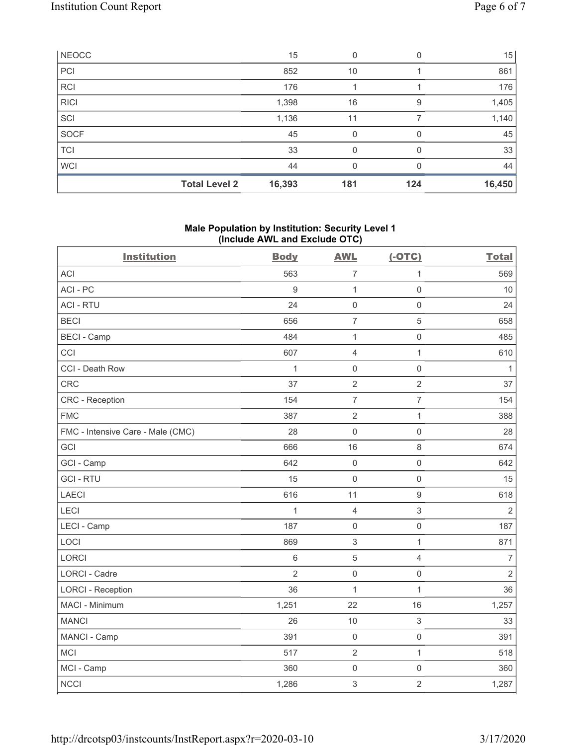| NEOCC       |                      | 15     | 0   |     | 15     |
|-------------|----------------------|--------|-----|-----|--------|
| PCI         |                      | 852    | 10  |     | 861    |
| <b>RCI</b>  |                      | 176    |     |     | 176    |
| <b>RICI</b> |                      | 1,398  | 16  | 9   | 1,405  |
| SCI         |                      | 1,136  | 11  |     | 1,140  |
| SOCF        |                      | 45     | 0   |     | 45     |
| <b>TCI</b>  |                      | 33     | 0   | O   | 33     |
| <b>WCI</b>  |                      | 44     | 0   |     | 44     |
|             | <b>Total Level 2</b> | 16,393 | 181 | 124 | 16,450 |

## **Male Population by Institution: Security Level 1 (Include AWL and Exclude OTC)**

| <b>Institution</b>                | <b>Body</b>    | <b>AWL</b>          | $(-OTC)$            | <b>Total</b>   |
|-----------------------------------|----------------|---------------------|---------------------|----------------|
| <b>ACI</b>                        | 563            | $\overline{7}$      | $\mathbf{1}$        | 569            |
| ACI-PC                            | 9              | $\mathbf{1}$        | $\mathbf 0$         | 10             |
| <b>ACI - RTU</b>                  | 24             | $\mathbf 0$         | $\mathsf{O}\xspace$ | 24             |
| <b>BECI</b>                       | 656            | $\overline{7}$      | $\overline{5}$      | 658            |
| <b>BECI - Camp</b>                | 484            | $\mathbf{1}$        | $\mathbf 0$         | 485            |
| CCI                               | 607            | $\overline{4}$      | $\mathbf{1}$        | 610            |
| CCI - Death Row                   | $\mathbf{1}$   | $\mathsf{O}\xspace$ | $\mathsf{O}\xspace$ | $\mathbf{1}$   |
| <b>CRC</b>                        | 37             | $\sqrt{2}$          | $\overline{c}$      | 37             |
| <b>CRC - Reception</b>            | 154            | $\overline{7}$      | $\overline{7}$      | 154            |
| <b>FMC</b>                        | 387            | $\overline{2}$      | $\mathbf{1}$        | 388            |
| FMC - Intensive Care - Male (CMC) | 28             | $\mathbf 0$         | $\mathbf 0$         | 28             |
| GCI                               | 666            | 16                  | $\,8\,$             | 674            |
| GCI - Camp                        | 642            | $\mathbf 0$         | $\mathsf{O}\xspace$ | 642            |
| <b>GCI-RTU</b>                    | 15             | $\mathbf 0$         | $\mathbf 0$         | 15             |
| <b>LAECI</b>                      | 616            | 11                  | $\boldsymbol{9}$    | 618            |
| LECI                              | $\mathbf{1}$   | $\overline{4}$      | $\mathfrak{S}$      | $\overline{2}$ |
| LECI - Camp                       | 187            | $\mathbf 0$         | $\mathbf 0$         | 187            |
| LOCI                              | 869            | $\sqrt{3}$          | $\mathbf{1}$        | 871            |
| <b>LORCI</b>                      | 6              | $\sqrt{5}$          | 4                   | $\overline{7}$ |
| <b>LORCI - Cadre</b>              | $\overline{2}$ | $\mathbf 0$         | $\mathbf 0$         | $\sqrt{2}$     |
| <b>LORCI - Reception</b>          | 36             | $\mathbf{1}$        | $\mathbf{1}$        | 36             |
| MACI - Minimum                    | 1,251          | 22                  | 16                  | 1,257          |
| <b>MANCI</b>                      | 26             | 10                  | $\mathfrak{S}$      | 33             |
| MANCI - Camp                      | 391            | $\mathbf 0$         | $\mathsf{O}\xspace$ | 391            |
| <b>MCI</b>                        | 517            | $\overline{2}$      | $\mathbf{1}$        | 518            |
| MCI - Camp                        | 360            | $\mathbf 0$         | $\mathbf 0$         | 360            |
| <b>NCCI</b>                       | 1,286          | 3                   | $\overline{2}$      | 1,287          |